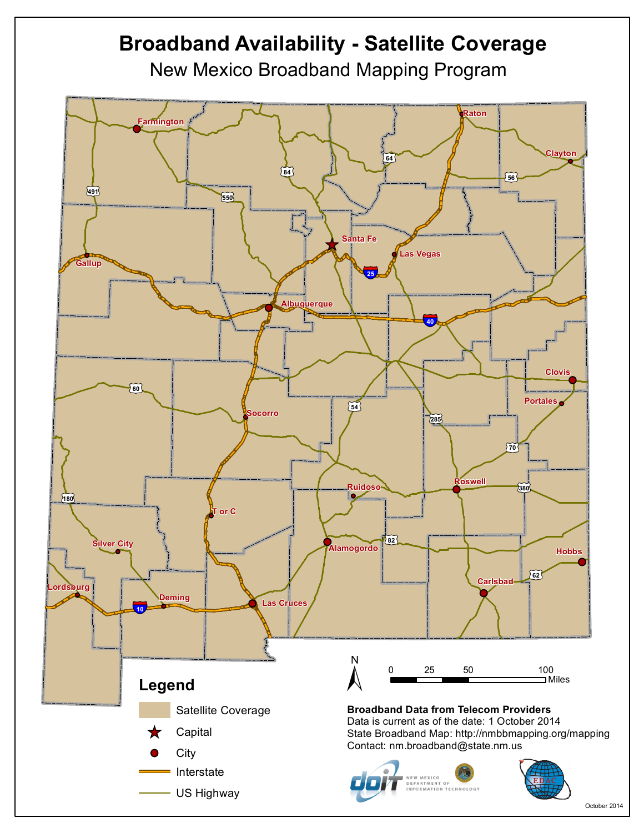## **Broadband Availability - Satellite Coverage** New Mexico Broadband Mapping Program **Raton Farmington Clayton** £¤**64** £¤**84** £¤**56** £¤**491** £¤**550 Santa Fe**  $\bigstar$ **Las Vegas Gallup** §¨¦**25 Albuquerque** §¨¦**40 Clovis** £¤**60 Portales**  $\begin{bmatrix} 54 \end{bmatrix}$ **Socorro** £¤**285** £¤**70 Roswell Ruidoso** £¤**380** l o £¤**180 T or C**  $\widetilde{82}$ **Iver** City **Alamogordo Hobbs** £¤**62 Carlsbad Lordsburg Deming Las Cruces** §¨¦**10**  $\sum_{n=1}^{\infty}$ 0 25 50 100 Miles **Legend** Satellite Coverage**Broadband Data from Telecom Providers** Data is current as of the date: 1 October 2014 **Capital** State Broadband Map: http://nmbbmapping.org/mapping Contact: nm.broadband@state.nm.us **City** Interstate NEW MEXICO<br>DEPARTMENT OF INFORMATION TECHNOLOGY US Highway

October 2014